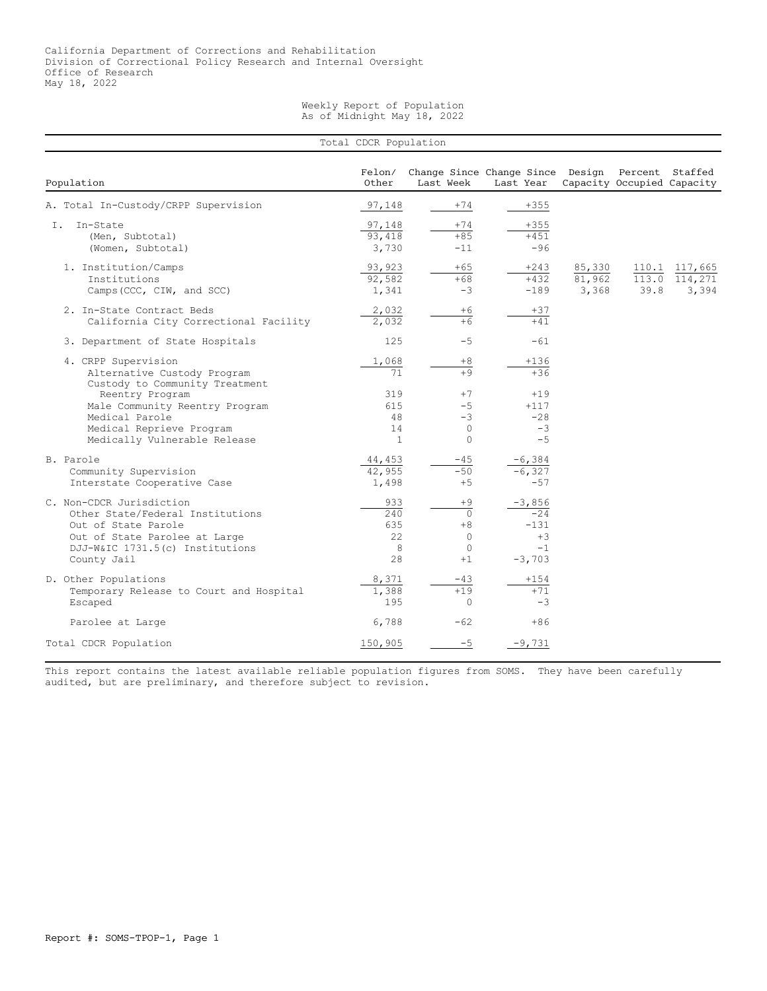## Weekly Report of Population As of Midnight May 18, 2022

| Total CDCR Population                                                                                                                                                  |                                        |                                                             |                                                               |                           |               |                                   |  |
|------------------------------------------------------------------------------------------------------------------------------------------------------------------------|----------------------------------------|-------------------------------------------------------------|---------------------------------------------------------------|---------------------------|---------------|-----------------------------------|--|
| Population                                                                                                                                                             | Felon/<br>Other                        | Last Week                                                   | Change Since Change Since Design Percent Staffed<br>Last Year |                           |               | Capacity Occupied Capacity        |  |
| A. Total In-Custody/CRPP Supervision                                                                                                                                   | 97,148                                 | $+74$                                                       | $+355$                                                        |                           |               |                                   |  |
| In-State<br>Ι.<br>(Men, Subtotal)<br>(Women, Subtotal)                                                                                                                 | 97,148<br>93,418<br>3,730              | $+74$<br>$+85$<br>$-11$                                     | $+355$<br>$+451$<br>$-96$                                     |                           |               |                                   |  |
| 1. Institution/Camps<br>Institutions<br>Camps (CCC, CIW, and SCC)                                                                                                      | 93,923<br>92,582<br>1,341              | $+65$<br>$+68$<br>$-3$                                      | $+243$<br>$+432$<br>$-189$                                    | 85,330<br>81,962<br>3,368 | 113.0<br>39.8 | 110.1 117,665<br>114,271<br>3,394 |  |
| 2. In-State Contract Beds<br>California City Correctional Facility                                                                                                     | 2,032<br>2,032                         | $+6$<br>$+\overline{6}$                                     | $+37$<br>$+41$                                                |                           |               |                                   |  |
| 3. Department of State Hospitals                                                                                                                                       | 125                                    | $-5$                                                        | $-61$                                                         |                           |               |                                   |  |
| 4. CRPP Supervision<br>Alternative Custody Program<br>Custody to Community Treatment                                                                                   | 1,068<br>71                            | $+8$<br>$+9$                                                | $+136$<br>$+36$                                               |                           |               |                                   |  |
| Reentry Program<br>Male Community Reentry Program<br>Medical Parole<br>Medical Reprieve Program<br>Medically Vulnerable Release                                        | 319<br>615<br>48<br>14<br>$\mathbf{1}$ | $+7$<br>$-5$<br>$-3$<br>$\Omega$<br>$\Omega$                | $+19$<br>$+117$<br>$-28$<br>$-3$<br>$-5$                      |                           |               |                                   |  |
| B. Parole<br>Community Supervision<br>Interstate Cooperative Case                                                                                                      | 44,453<br>42,955<br>1,498              | $-45$<br>$-50$<br>$+5$                                      | $-6,384$<br>$-6,327$<br>$-57$                                 |                           |               |                                   |  |
| C. Non-CDCR Jurisdiction<br>Other State/Federal Institutions<br>Out of State Parole<br>Out of State Parolee at Large<br>DJJ-W&IC 1731.5(c) Institutions<br>County Jail | 933<br>240<br>635<br>22<br>8<br>28     | $+9$<br>$\circ$<br>$+8$<br>$\Omega$<br>$\mathbf{0}$<br>$+1$ | $-3,856$<br>$-24$<br>$-131$<br>$+3$<br>$-1$<br>$-3,703$       |                           |               |                                   |  |
| D. Other Populations<br>Temporary Release to Court and Hospital<br>Escaped                                                                                             | 8,371<br>1,388<br>195                  | -43<br>$+19$<br>$\Omega$                                    | +154<br>$+71$<br>$-3$                                         |                           |               |                                   |  |
| Parolee at Large                                                                                                                                                       | 6,788                                  | $-62$                                                       | $+86$                                                         |                           |               |                                   |  |
| Total CDCR Population                                                                                                                                                  | 150,905                                | $-5$                                                        | $-9,731$                                                      |                           |               |                                   |  |

This report contains the latest available reliable population figures from SOMS. They have been carefully audited, but are preliminary, and therefore subject to revision.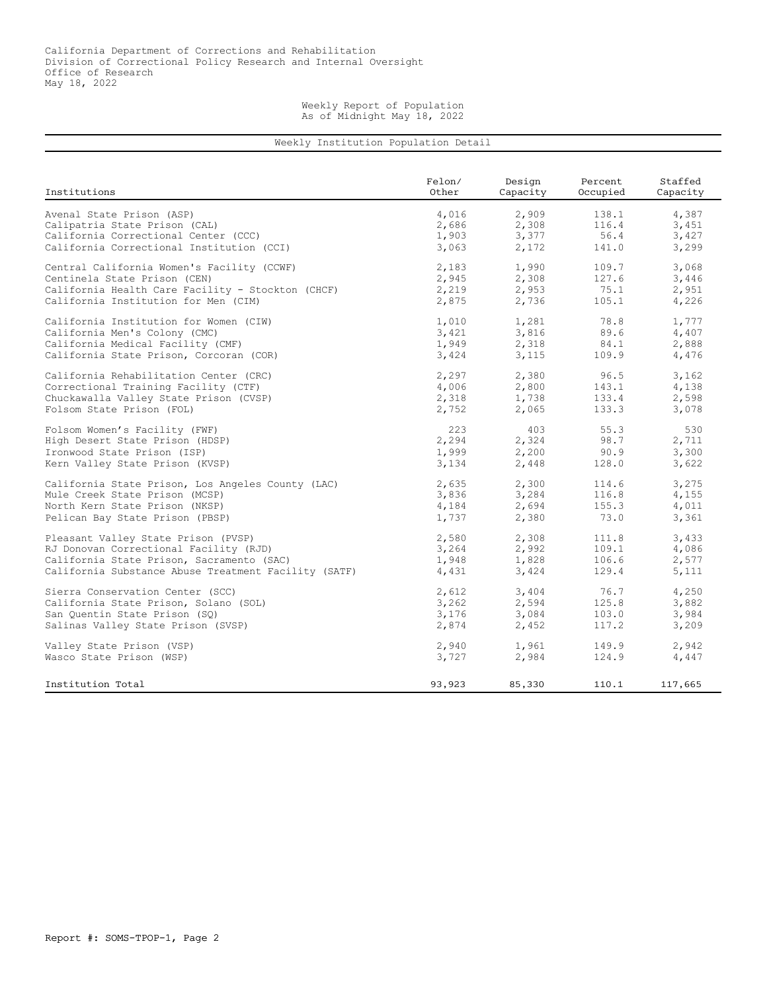## Weekly Report of Population As of Midnight May 18, 2022

## Weekly Institution Population Detail

| Institutions                                         | Felon/ | Design   | Percent  | Staffed  |
|------------------------------------------------------|--------|----------|----------|----------|
|                                                      | Other  | Capacity | Occupied | Capacity |
| Avenal State Prison (ASP)                            | 4,016  | 2,909    | 138.1    | 4,387    |
| Calipatria State Prison (CAL)                        | 2,686  | 2,308    | 116.4    | 3,451    |
| California Correctional Center (CCC)                 | 1,903  | 3,377    | 56.4     | 3,427    |
| California Correctional Institution (CCI)            | 3,063  | 2,172    | 141.0    | 3,299    |
| Central California Women's Facility (CCWF)           | 2,183  | 1,990    | 109.7    | 3,068    |
| Centinela State Prison (CEN)                         | 2,945  | 2,308    | 127.6    | 3,446    |
| California Health Care Facility - Stockton (CHCF)    | 2,219  | 2,953    | 75.1     | 2,951    |
| California Institution for Men (CIM)                 | 2,875  | 2,736    | 105.1    | 4,226    |
| California Institution for Women (CIW)               | 1,010  | 1,281    | 78.8     | 1,777    |
| California Men's Colony (CMC)                        | 3,421  | 3,816    | 89.6     | 4,407    |
| California Medical Facility (CMF)                    | 1,949  | 2,318    | 84.1     | 2,888    |
| California State Prison, Corcoran (COR)              | 3,424  | 3,115    | 109.9    | 4,476    |
| California Rehabilitation Center (CRC)               | 2,297  | 2,380    | 96.5     | 3,162    |
| Correctional Training Facility (CTF)                 | 4,006  | 2,800    | 143.1    | 4,138    |
| Chuckawalla Valley State Prison (CVSP)               | 2,318  | 1,738    | 133.4    | 2,598    |
| Folsom State Prison (FOL)                            | 2,752  | 2,065    | 133.3    | 3,078    |
| Folsom Women's Facility (FWF)                        | 223    | 403      | 55.3     | 530      |
| High Desert State Prison (HDSP)                      | 2,294  | 2,324    | 98.7     | 2,711    |
| Ironwood State Prison (ISP)                          | 1,999  | 2,200    | 90.9     | 3,300    |
| Kern Valley State Prison (KVSP)                      | 3,134  | 2,448    | 128.0    | 3,622    |
| California State Prison, Los Angeles County (LAC)    | 2,635  | 2,300    | 114.6    | 3,275    |
| Mule Creek State Prison (MCSP)                       | 3,836  | 3,284    | 116.8    | 4,155    |
| North Kern State Prison (NKSP)                       | 4,184  | 2,694    | 155.3    | 4,011    |
| Pelican Bay State Prison (PBSP)                      | 1,737  | 2,380    | 73.0     | 3,361    |
| Pleasant Valley State Prison (PVSP)                  | 2,580  | 2,308    | 111.8    | 3,433    |
| RJ Donovan Correctional Facility (RJD)               | 3,264  | 2,992    | 109.1    | 4,086    |
| California State Prison, Sacramento (SAC)            | 1,948  | 1,828    | 106.6    | 2,577    |
| California Substance Abuse Treatment Facility (SATF) | 4,431  | 3,424    | 129.4    | 5,111    |
| Sierra Conservation Center (SCC)                     | 2,612  | 3,404    | 76.7     | 4,250    |
| California State Prison, Solano (SOL)                | 3,262  | 2,594    | 125.8    | 3,882    |
| San Ouentin State Prison (SO)                        | 3,176  | 3,084    | 103.0    | 3,984    |
| Salinas Valley State Prison (SVSP)                   | 2,874  | 2,452    | 117.2    | 3,209    |
| Valley State Prison (VSP)                            | 2,940  | 1,961    | 149.9    | 2,942    |
| Wasco State Prison (WSP)                             | 3,727  | 2,984    | 124.9    | 4,447    |
| Institution Total                                    | 93,923 | 85,330   | 110.1    | 117,665  |